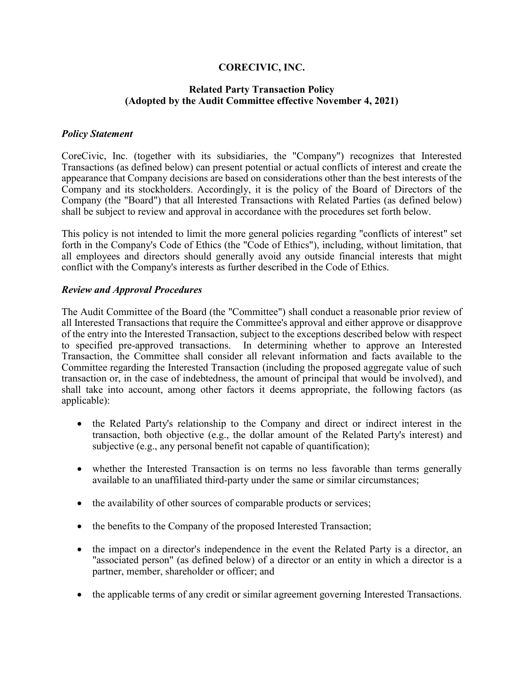### **CORECIVIC, INC.**

### **Related Party Transaction Policy (Adopted by the Audit Committee effective November 4, 2021)**

### *Policy Statement*

CoreCivic, Inc. (together with its subsidiaries, the "Company") recognizes that Interested Transactions (as defined below) can present potential or actual conflicts of interest and create the appearance that Company decisions are based on considerations other than the best interests of the Company and its stockholders. Accordingly, it is the policy of the Board of Directors of the Company (the "Board") that all Interested Transactions with Related Parties (as defined below) shall be subject to review and approval in accordance with the procedures set forth below.

This policy is not intended to limit the more general policies regarding "conflicts of interest" set forth in the Company's Code of Ethics (the "Code of Ethics"), including, without limitation, that all employees and directors should generally avoid any outside financial interests that might conflict with the Company's interests as further described in the Code of Ethics.

#### *Review and Approval Procedures*

The Audit Committee of the Board (the "Committee") shall conduct a reasonable prior review of all Interested Transactions that require the Committee's approval and either approve or disapprove of the entry into the Interested Transaction, subject to the exceptions described below with respect to specified pre-approved transactions. In determining whether to approve an Interested Transaction, the Committee shall consider all relevant information and facts available to the Committee regarding the Interested Transaction (including the proposed aggregate value of such transaction or, in the case of indebtedness, the amount of principal that would be involved), and shall take into account, among other factors it deems appropriate, the following factors (as applicable):

- the Related Party's relationship to the Company and direct or indirect interest in the transaction, both objective (e.g., the dollar amount of the Related Party's interest) and subjective (e.g., any personal benefit not capable of quantification);
- whether the Interested Transaction is on terms no less favorable than terms generally available to an unaffiliated third-party under the same or similar circumstances;
- the availability of other sources of comparable products or services;
- the benefits to the Company of the proposed Interested Transaction;
- the impact on a director's independence in the event the Related Party is a director, an "associated person" (as defined below) of a director or an entity in which a director is a partner, member, shareholder or officer; and
- the applicable terms of any credit or similar agreement governing Interested Transactions.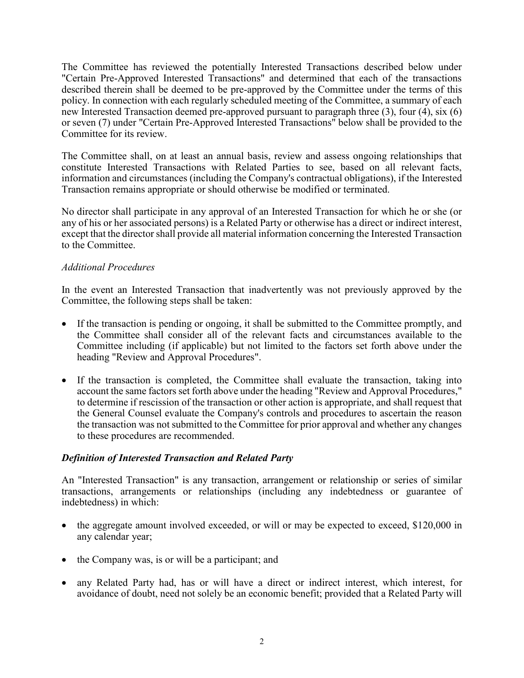The Committee has reviewed the potentially Interested Transactions described below under "Certain Pre-Approved Interested Transactions" and determined that each of the transactions described therein shall be deemed to be pre-approved by the Committee under the terms of this policy. In connection with each regularly scheduled meeting of the Committee, a summary of each new Interested Transaction deemed pre-approved pursuant to paragraph three (3), four (4), six (6) or seven (7) under "Certain Pre-Approved Interested Transactions" below shall be provided to the Committee for its review.

The Committee shall, on at least an annual basis, review and assess ongoing relationships that constitute Interested Transactions with Related Parties to see, based on all relevant facts, information and circumstances (including the Company's contractual obligations), if the Interested Transaction remains appropriate or should otherwise be modified or terminated.

No director shall participate in any approval of an Interested Transaction for which he or she (or any of his or her associated persons) is a Related Party or otherwise has a direct or indirect interest, except that the director shall provide all material information concerning the Interested Transaction to the Committee.

## *Additional Procedures*

In the event an Interested Transaction that inadvertently was not previously approved by the Committee, the following steps shall be taken:

- If the transaction is pending or ongoing, it shall be submitted to the Committee promptly, and the Committee shall consider all of the relevant facts and circumstances available to the Committee including (if applicable) but not limited to the factors set forth above under the heading "Review and Approval Procedures".
- If the transaction is completed, the Committee shall evaluate the transaction, taking into account the same factors set forth above under the heading "Review and Approval Procedures," to determine if rescission of the transaction or other action is appropriate, and shall request that the General Counsel evaluate the Company's controls and procedures to ascertain the reason the transaction was not submitted to the Committee for prior approval and whether any changes to these procedures are recommended.

### *Definition of Interested Transaction and Related Party*

An "Interested Transaction" is any transaction, arrangement or relationship or series of similar transactions, arrangements or relationships (including any indebtedness or guarantee of indebtedness) in which:

- the aggregate amount involved exceeded, or will or may be expected to exceed, \$120,000 in any calendar year;
- the Company was, is or will be a participant; and
- any Related Party had, has or will have a direct or indirect interest, which interest, for avoidance of doubt, need not solely be an economic benefit; provided that a Related Party will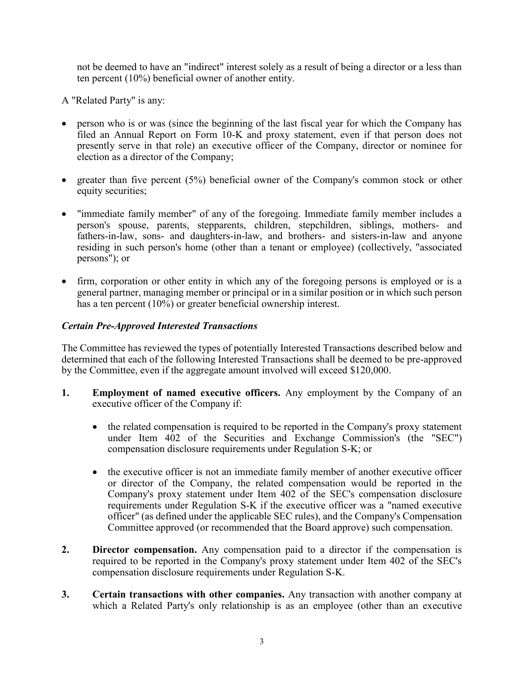not be deemed to have an "indirect" interest solely as a result of being a director or a less than ten percent (10%) beneficial owner of another entity.

A "Related Party" is any:

- person who is or was (since the beginning of the last fiscal year for which the Company has filed an Annual Report on Form 10-K and proxy statement, even if that person does not presently serve in that role) an executive officer of the Company, director or nominee for election as a director of the Company;
- greater than five percent  $(5%)$  beneficial owner of the Company's common stock or other equity securities;
- "immediate family member" of any of the foregoing. Immediate family member includes a person's spouse, parents, stepparents, children, stepchildren, siblings, mothers- and fathers-in-law, sons- and daughters-in-law, and brothers- and sisters-in-law and anyone residing in such person's home (other than a tenant or employee) (collectively, "associated persons"); or
- firm, corporation or other entity in which any of the foregoing persons is employed or is a general partner, managing member or principal or in a similar position or in which such person has a ten percent (10%) or greater beneficial ownership interest.

# *Certain Pre-Approved Interested Transactions*

The Committee has reviewed the types of potentially Interested Transactions described below and determined that each of the following Interested Transactions shall be deemed to be pre-approved by the Committee, even if the aggregate amount involved will exceed \$120,000.

- **1. Employment of named executive officers.** Any employment by the Company of an executive officer of the Company if:
	- the related compensation is required to be reported in the Company's proxy statement under Item 402 of the Securities and Exchange Commission's (the "SEC") compensation disclosure requirements under Regulation S-K; or
	- the executive officer is not an immediate family member of another executive officer or director of the Company, the related compensation would be reported in the Company's proxy statement under Item 402 of the SEC's compensation disclosure requirements under Regulation S-K if the executive officer was a "named executive officer" (as defined under the applicable SEC rules), and the Company's Compensation Committee approved (or recommended that the Board approve) such compensation.
- **2. Director compensation.** Any compensation paid to a director if the compensation is required to be reported in the Company's proxy statement under Item 402 of the SEC's compensation disclosure requirements under Regulation S-K.
- **3. Certain transactions with other companies.** Any transaction with another company at which a Related Party's only relationship is as an employee (other than an executive